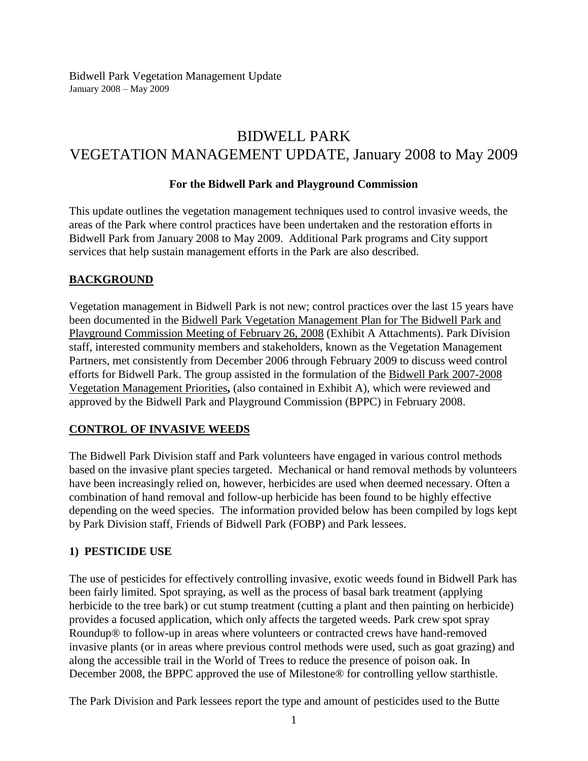# BIDWELL PARK VEGETATION MANAGEMENT UPDATE, January 2008 to May 2009

### **For the Bidwell Park and Playground Commission**

This update outlines the vegetation management techniques used to control invasive weeds, the areas of the Park where control practices have been undertaken and the restoration efforts in Bidwell Park from January 2008 to May 2009. Additional Park programs and City support services that help sustain management efforts in the Park are also described.

# **BACKGROUND**

Vegetation management in Bidwell Park is not new; control practices over the last 15 years have been documented in the Bidwell Park Vegetation Management Plan for The Bidwell Park and Playground Commission Meeting of February 26, 2008 (Exhibit A Attachments). Park Division staff, interested community members and stakeholders, known as the Vegetation Management Partners, met consistently from December 2006 through February 2009 to discuss weed control efforts for Bidwell Park. The group assisted in the formulation of the Bidwell Park 2007-2008 Vegetation Management Priorities**,** (also contained in Exhibit A), which were reviewed and approved by the Bidwell Park and Playground Commission (BPPC) in February 2008.

#### **CONTROL OF INVASIVE WEEDS**

The Bidwell Park Division staff and Park volunteers have engaged in various control methods based on the invasive plant species targeted. Mechanical or hand removal methods by volunteers have been increasingly relied on, however, herbicides are used when deemed necessary. Often a combination of hand removal and follow-up herbicide has been found to be highly effective depending on the weed species. The information provided below has been compiled by logs kept by Park Division staff, Friends of Bidwell Park (FOBP) and Park lessees.

#### **1) PESTICIDE USE**

The use of pesticides for effectively controlling invasive, exotic weeds found in Bidwell Park has been fairly limited. Spot spraying, as well as the process of basal bark treatment (applying herbicide to the tree bark) or cut stump treatment (cutting a plant and then painting on herbicide) provides a focused application, which only affects the targeted weeds. Park crew spot spray Roundup® to follow-up in areas where volunteers or contracted crews have hand-removed invasive plants (or in areas where previous control methods were used, such as goat grazing) and along the accessible trail in the World of Trees to reduce the presence of poison oak. In December 2008, the BPPC approved the use of Milestone® for controlling yellow starthistle.

The Park Division and Park lessees report the type and amount of pesticides used to the Butte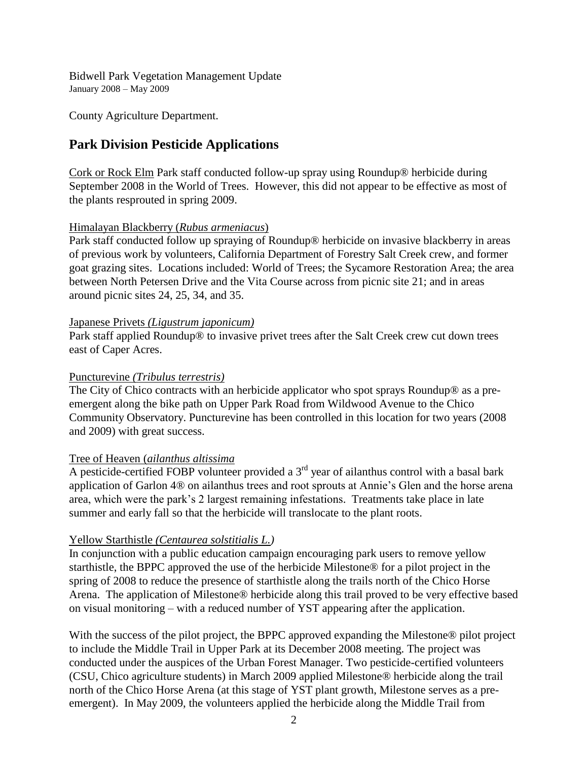County Agriculture Department.

# **Park Division Pesticide Applications**

Cork or Rock Elm Park staff conducted follow-up spray using Roundup® herbicide during September 2008 in the World of Trees. However, this did not appear to be effective as most of the plants resprouted in spring 2009.

### Himalayan Blackberry (*Rubus armeniacus*)

Park staff conducted follow up spraying of Roundup® herbicide on invasive blackberry in areas of previous work by volunteers, California Department of Forestry Salt Creek crew, and former goat grazing sites. Locations included: World of Trees; the Sycamore Restoration Area; the area between North Petersen Drive and the Vita Course across from picnic site 21; and in areas around picnic sites 24, 25, 34, and 35.

#### Japanese Privets *(Ligustrum japonicum)*

Park staff applied Roundup® to invasive privet trees after the Salt Creek crew cut down trees east of Caper Acres.

### Puncturevine *(Tribulus terrestris)*

The City of Chico contracts with an herbicide applicator who spot sprays Roundup® as a preemergent along the bike path on Upper Park Road from Wildwood Avenue to the Chico Community Observatory. Puncturevine has been controlled in this location for two years (2008 and 2009) with great success.

# Tree of Heaven (*ailanthus altissima*

A pesticide-certified FOBP volunteer provided a  $3<sup>rd</sup>$  year of ailanthus control with a basal bark application of Garlon 4® on ailanthus trees and root sprouts at Annie's Glen and the horse arena area, which were the park's 2 largest remaining infestations. Treatments take place in late summer and early fall so that the herbicide will translocate to the plant roots.

# Yellow Starthistle *(Centaurea solstitialis L.)*

In conjunction with a public education campaign encouraging park users to remove yellow starthistle, the BPPC approved the use of the herbicide Milestone® for a pilot project in the spring of 2008 to reduce the presence of starthistle along the trails north of the Chico Horse Arena. The application of Milestone® herbicide along this trail proved to be very effective based on visual monitoring – with a reduced number of YST appearing after the application.

With the success of the pilot project, the BPPC approved expanding the Milestone<sup>®</sup> pilot project to include the Middle Trail in Upper Park at its December 2008 meeting. The project was conducted under the auspices of the Urban Forest Manager. Two pesticide-certified volunteers (CSU, Chico agriculture students) in March 2009 applied Milestone® herbicide along the trail north of the Chico Horse Arena (at this stage of YST plant growth, Milestone serves as a preemergent). In May 2009, the volunteers applied the herbicide along the Middle Trail from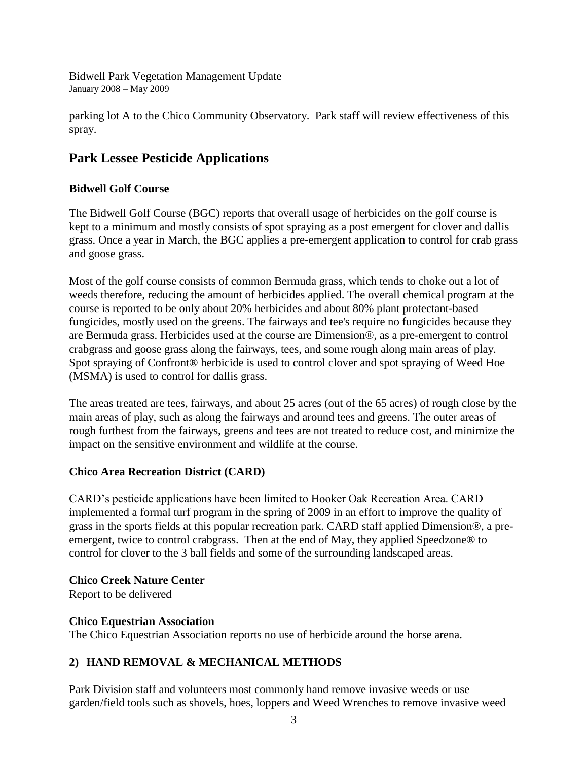parking lot A to the Chico Community Observatory. Park staff will review effectiveness of this spray.

# **Park Lessee Pesticide Applications**

# **Bidwell Golf Course**

The Bidwell Golf Course (BGC) reports that overall usage of herbicides on the golf course is kept to a minimum and mostly consists of spot spraying as a post emergent for clover and dallis grass. Once a year in March, the BGC applies a pre-emergent application to control for crab grass and goose grass.

Most of the golf course consists of common Bermuda grass, which tends to choke out a lot of weeds therefore, reducing the amount of herbicides applied. The overall chemical program at the course is reported to be only about 20% herbicides and about 80% plant protectant-based fungicides, mostly used on the greens. The fairways and tee's require no fungicides because they are Bermuda grass. Herbicides used at the course are Dimension®, as a pre-emergent to control crabgrass and goose grass along the fairways, tees, and some rough along main areas of play. Spot spraying of Confront® herbicide is used to control clover and spot spraying of Weed Hoe (MSMA) is used to control for dallis grass.

The areas treated are tees, fairways, and about 25 acres (out of the 65 acres) of rough close by the main areas of play, such as along the fairways and around tees and greens. The outer areas of rough furthest from the fairways, greens and tees are not treated to reduce cost, and minimize the impact on the sensitive environment and wildlife at the course.

# **Chico Area Recreation District (CARD)**

CARD's pesticide applications have been limited to Hooker Oak Recreation Area. CARD implemented a formal turf program in the spring of 2009 in an effort to improve the quality of grass in the sports fields at this popular recreation park. CARD staff applied Dimension®, a preemergent, twice to control crabgrass. Then at the end of May, they applied Speedzone® to control for clover to the 3 ball fields and some of the surrounding landscaped areas.

# **Chico Creek Nature Center**

Report to be delivered

# **Chico Equestrian Association**

The Chico Equestrian Association reports no use of herbicide around the horse arena.

# **2) HAND REMOVAL & MECHANICAL METHODS**

Park Division staff and volunteers most commonly hand remove invasive weeds or use garden/field tools such as shovels, hoes, loppers and Weed Wrenches to remove invasive weed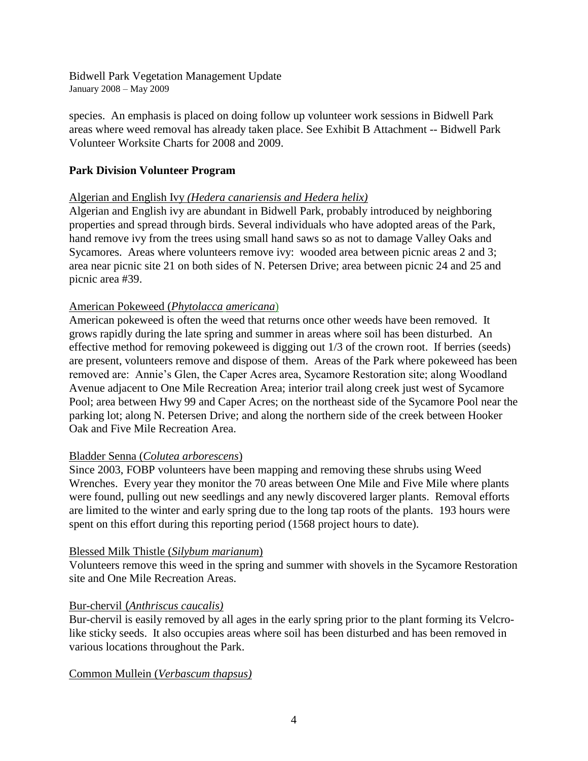species. An emphasis is placed on doing follow up volunteer work sessions in Bidwell Park areas where weed removal has already taken place. See Exhibit B Attachment -- Bidwell Park Volunteer Worksite Charts for 2008 and 2009.

# **Park Division Volunteer Program**

### Algerian and English Ivy *(Hedera canariensis and Hedera helix)*

Algerian and English ivy are abundant in Bidwell Park, probably introduced by neighboring properties and spread through birds. Several individuals who have adopted areas of the Park, hand remove ivy from the trees using small hand saws so as not to damage Valley Oaks and Sycamores. Areas where volunteers remove ivy: wooded area between picnic areas 2 and 3; area near picnic site 21 on both sides of N. Petersen Drive; area between picnic 24 and 25 and picnic area #39.

### American Pokeweed (*Phytolacca americana*)

American pokeweed is often the weed that returns once other weeds have been removed. It grows rapidly during the late spring and summer in areas where soil has been disturbed. An effective method for removing pokeweed is digging out 1/3 of the crown root. If berries (seeds) are present, volunteers remove and dispose of them. Areas of the Park where pokeweed has been removed are: Annie's Glen, the Caper Acres area, Sycamore Restoration site; along Woodland Avenue adjacent to One Mile Recreation Area; interior trail along creek just west of Sycamore Pool; area between Hwy 99 and Caper Acres; on the northeast side of the Sycamore Pool near the parking lot; along N. Petersen Drive; and along the northern side of the creek between Hooker Oak and Five Mile Recreation Area.

#### Bladder Senna (*Colutea arborescens*)

Since 2003, FOBP volunteers have been mapping and removing these shrubs using Weed Wrenches. Every year they monitor the 70 areas between One Mile and Five Mile where plants were found, pulling out new seedlings and any newly discovered larger plants. Removal efforts are limited to the winter and early spring due to the long tap roots of the plants. 193 hours were spent on this effort during this reporting period (1568 project hours to date).

#### Blessed Milk Thistle (*Silybum marianum*)

Volunteers remove this weed in the spring and summer with shovels in the Sycamore Restoration site and One Mile Recreation Areas.

#### Bur-chervil (*Anthriscus caucalis)*

Bur-chervil is easily removed by all ages in the early spring prior to the plant forming its Velcrolike sticky seeds. It also occupies areas where soil has been disturbed and has been removed in various locations throughout the Park.

# Common Mullein (*Verbascum thapsus)*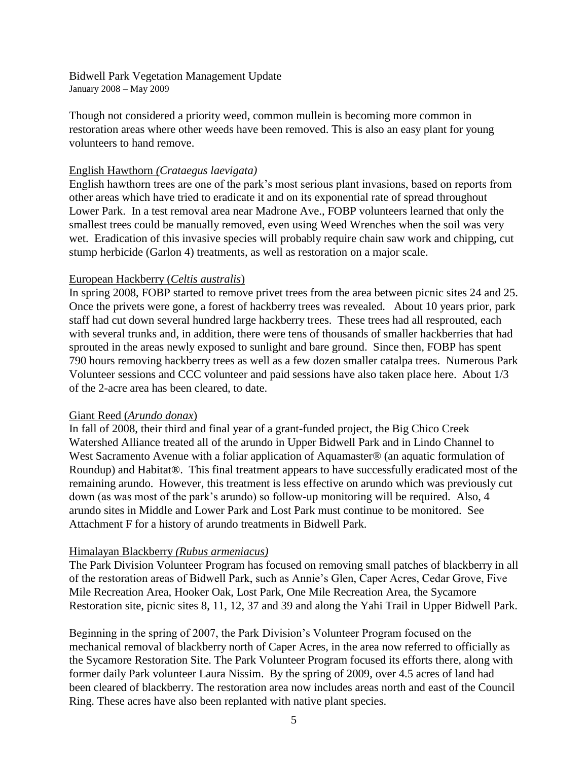Though not considered a priority weed, common mullein is becoming more common in restoration areas where other weeds have been removed. This is also an easy plant for young volunteers to hand remove.

#### English Hawthorn *(Crataegus laevigata)*

English hawthorn trees are one of the park's most serious plant invasions, based on reports from other areas which have tried to eradicate it and on its exponential rate of spread throughout Lower Park. In a test removal area near Madrone Ave., FOBP volunteers learned that only the smallest trees could be manually removed, even using Weed Wrenches when the soil was very wet. Eradication of this invasive species will probably require chain saw work and chipping, cut stump herbicide (Garlon 4) treatments, as well as restoration on a major scale.

### European Hackberry (*Celtis australis*)

In spring 2008, FOBP started to remove privet trees from the area between picnic sites 24 and 25. Once the privets were gone, a forest of hackberry trees was revealed. About 10 years prior, park staff had cut down several hundred large hackberry trees. These trees had all resprouted, each with several trunks and, in addition, there were tens of thousands of smaller hackberries that had sprouted in the areas newly exposed to sunlight and bare ground. Since then, FOBP has spent 790 hours removing hackberry trees as well as a few dozen smaller catalpa trees. Numerous Park Volunteer sessions and CCC volunteer and paid sessions have also taken place here. About 1/3 of the 2-acre area has been cleared, to date.

#### Giant Reed (*Arundo donax*)

In fall of 2008, their third and final year of a grant-funded project, the Big Chico Creek Watershed Alliance treated all of the arundo in Upper Bidwell Park and in Lindo Channel to West Sacramento Avenue with a foliar application of Aquamaster® (an aquatic formulation of Roundup) and Habitat®. This final treatment appears to have successfully eradicated most of the remaining arundo. However, this treatment is less effective on arundo which was previously cut down (as was most of the park's arundo) so follow-up monitoring will be required. Also, 4 arundo sites in Middle and Lower Park and Lost Park must continue to be monitored. See Attachment F for a history of arundo treatments in Bidwell Park.

#### Himalayan Blackberry *(Rubus armeniacus)*

The Park Division Volunteer Program has focused on removing small patches of blackberry in all of the restoration areas of Bidwell Park, such as Annie's Glen, Caper Acres, Cedar Grove, Five Mile Recreation Area, Hooker Oak, Lost Park, One Mile Recreation Area, the Sycamore Restoration site, picnic sites 8, 11, 12, 37 and 39 and along the Yahi Trail in Upper Bidwell Park.

Beginning in the spring of 2007, the Park Division's Volunteer Program focused on the mechanical removal of blackberry north of Caper Acres, in the area now referred to officially as the Sycamore Restoration Site. The Park Volunteer Program focused its efforts there, along with former daily Park volunteer Laura Nissim. By the spring of 2009, over 4.5 acres of land had been cleared of blackberry. The restoration area now includes areas north and east of the Council Ring. These acres have also been replanted with native plant species.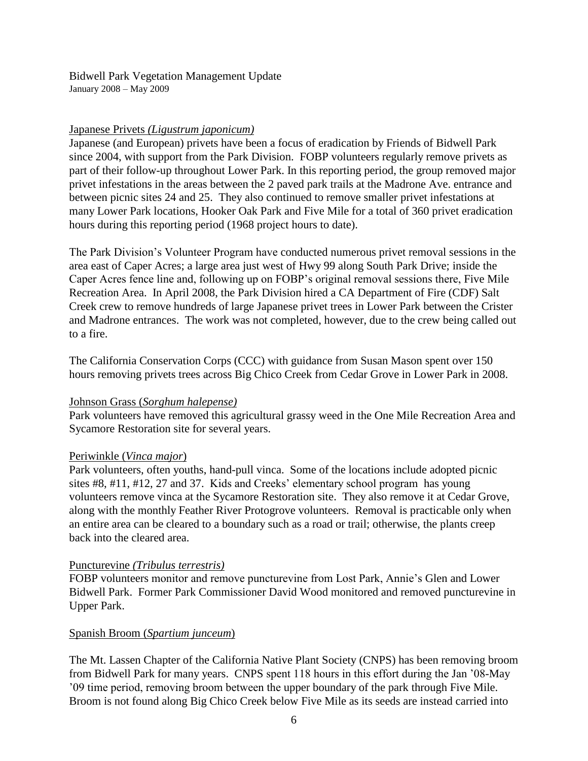### Japanese Privets *(Ligustrum japonicum)*

Japanese (and European) privets have been a focus of eradication by Friends of Bidwell Park since 2004, with support from the Park Division. FOBP volunteers regularly remove privets as part of their follow-up throughout Lower Park. In this reporting period, the group removed major privet infestations in the areas between the 2 paved park trails at the Madrone Ave. entrance and between picnic sites 24 and 25. They also continued to remove smaller privet infestations at many Lower Park locations, Hooker Oak Park and Five Mile for a total of 360 privet eradication hours during this reporting period (1968 project hours to date).

The Park Division's Volunteer Program have conducted numerous privet removal sessions in the area east of Caper Acres; a large area just west of Hwy 99 along South Park Drive; inside the Caper Acres fence line and, following up on FOBP's original removal sessions there, Five Mile Recreation Area. In April 2008, the Park Division hired a CA Department of Fire (CDF) Salt Creek crew to remove hundreds of large Japanese privet trees in Lower Park between the Crister and Madrone entrances. The work was not completed, however, due to the crew being called out to a fire.

The California Conservation Corps (CCC) with guidance from Susan Mason spent over 150 hours removing privets trees across Big Chico Creek from Cedar Grove in Lower Park in 2008.

#### Johnson Grass (*Sorghum halepense)*

Park volunteers have removed this agricultural grassy weed in the One Mile Recreation Area and Sycamore Restoration site for several years.

#### Periwinkle (*Vinca major*)

Park volunteers, often youths, hand-pull vinca. Some of the locations include adopted picnic sites #8, #11, #12, 27 and 37. Kids and Creeks' elementary school program has young volunteers remove vinca at the Sycamore Restoration site. They also remove it at Cedar Grove, along with the monthly Feather River Protogrove volunteers. Removal is practicable only when an entire area can be cleared to a boundary such as a road or trail; otherwise, the plants creep back into the cleared area.

#### Puncturevine *(Tribulus terrestris)*

FOBP volunteers monitor and remove puncturevine from Lost Park, Annie's Glen and Lower Bidwell Park. Former Park Commissioner David Wood monitored and removed puncturevine in Upper Park.

#### Spanish Broom (*Spartium junceum*)

The Mt. Lassen Chapter of the California Native Plant Society (CNPS) has been removing broom from Bidwell Park for many years. CNPS spent 118 hours in this effort during the Jan '08-May '09 time period, removing broom between the upper boundary of the park through Five Mile. Broom is not found along Big Chico Creek below Five Mile as its seeds are instead carried into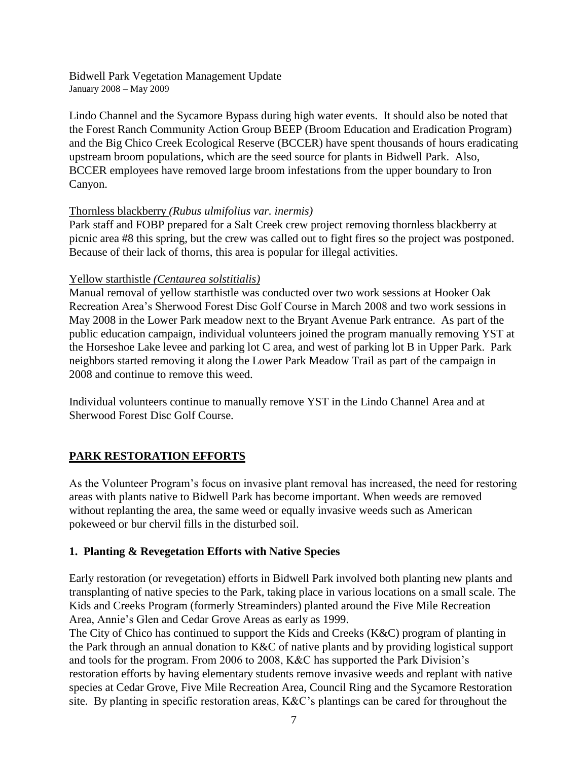Lindo Channel and the Sycamore Bypass during high water events. It should also be noted that the Forest Ranch Community Action Group BEEP (Broom Education and Eradication Program) and the Big Chico Creek Ecological Reserve (BCCER) have spent thousands of hours eradicating upstream broom populations, which are the seed source for plants in Bidwell Park. Also, BCCER employees have removed large broom infestations from the upper boundary to Iron Canyon.

# Thornless blackberry *(Rubus ulmifolius var. inermis)*

Park staff and FOBP prepared for a Salt Creek crew project removing thornless blackberry at picnic area #8 this spring, but the crew was called out to fight fires so the project was postponed. Because of their lack of thorns, this area is popular for illegal activities.

### Yellow starthistle *(Centaurea solstitialis)*

Manual removal of yellow starthistle was conducted over two work sessions at Hooker Oak Recreation Area's Sherwood Forest Disc Golf Course in March 2008 and two work sessions in May 2008 in the Lower Park meadow next to the Bryant Avenue Park entrance. As part of the public education campaign, individual volunteers joined the program manually removing YST at the Horseshoe Lake levee and parking lot C area, and west of parking lot B in Upper Park. Park neighbors started removing it along the Lower Park Meadow Trail as part of the campaign in 2008 and continue to remove this weed.

Individual volunteers continue to manually remove YST in the Lindo Channel Area and at Sherwood Forest Disc Golf Course.

# **PARK RESTORATION EFFORTS**

As the Volunteer Program's focus on invasive plant removal has increased, the need for restoring areas with plants native to Bidwell Park has become important. When weeds are removed without replanting the area, the same weed or equally invasive weeds such as American pokeweed or bur chervil fills in the disturbed soil.

# **1. Planting & Revegetation Efforts with Native Species**

Early restoration (or revegetation) efforts in Bidwell Park involved both planting new plants and transplanting of native species to the Park, taking place in various locations on a small scale. The Kids and Creeks Program (formerly Streaminders) planted around the Five Mile Recreation Area, Annie's Glen and Cedar Grove Areas as early as 1999.

The City of Chico has continued to support the Kids and Creeks (K&C) program of planting in the Park through an annual donation to K&C of native plants and by providing logistical support and tools for the program. From 2006 to 2008, K&C has supported the Park Division's restoration efforts by having elementary students remove invasive weeds and replant with native species at Cedar Grove, Five Mile Recreation Area, Council Ring and the Sycamore Restoration site. By planting in specific restoration areas, K&C's plantings can be cared for throughout the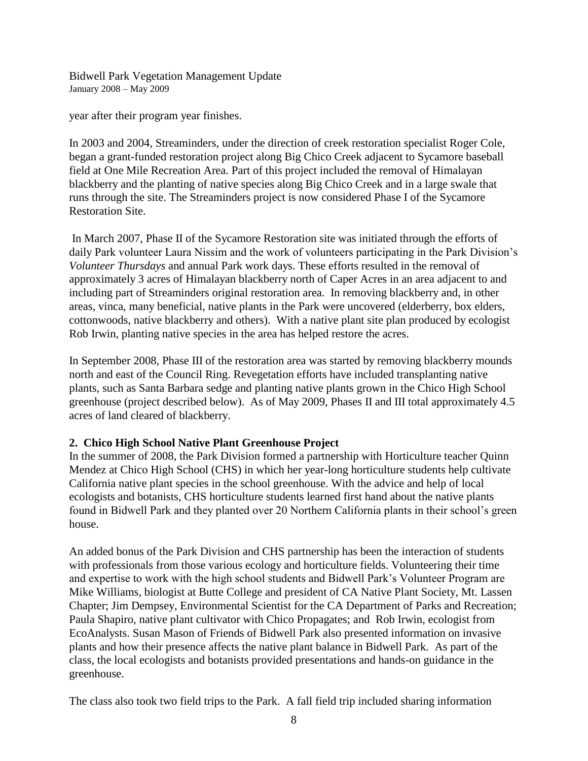year after their program year finishes.

In 2003 and 2004, Streaminders, under the direction of creek restoration specialist Roger Cole, began a grant-funded restoration project along Big Chico Creek adjacent to Sycamore baseball field at One Mile Recreation Area. Part of this project included the removal of Himalayan blackberry and the planting of native species along Big Chico Creek and in a large swale that runs through the site. The Streaminders project is now considered Phase I of the Sycamore Restoration Site.

In March 2007, Phase II of the Sycamore Restoration site was initiated through the efforts of daily Park volunteer Laura Nissim and the work of volunteers participating in the Park Division's *Volunteer Thursdays* and annual Park work days. These efforts resulted in the removal of approximately 3 acres of Himalayan blackberry north of Caper Acres in an area adjacent to and including part of Streaminders original restoration area. In removing blackberry and, in other areas, vinca, many beneficial, native plants in the Park were uncovered (elderberry, box elders, cottonwoods, native blackberry and others). With a native plant site plan produced by ecologist Rob Irwin, planting native species in the area has helped restore the acres.

In September 2008, Phase III of the restoration area was started by removing blackberry mounds north and east of the Council Ring. Revegetation efforts have included transplanting native plants, such as Santa Barbara sedge and planting native plants grown in the Chico High School greenhouse (project described below). As of May 2009, Phases II and III total approximately 4.5 acres of land cleared of blackberry.

# **2. Chico High School Native Plant Greenhouse Project**

In the summer of 2008, the Park Division formed a partnership with Horticulture teacher Quinn Mendez at Chico High School (CHS) in which her year-long horticulture students help cultivate California native plant species in the school greenhouse. With the advice and help of local ecologists and botanists, CHS horticulture students learned first hand about the native plants found in Bidwell Park and they planted over 20 Northern California plants in their school's green house.

An added bonus of the Park Division and CHS partnership has been the interaction of students with professionals from those various ecology and horticulture fields. Volunteering their time and expertise to work with the high school students and Bidwell Park's Volunteer Program are Mike Williams, biologist at Butte College and president of CA Native Plant Society, Mt. Lassen Chapter; Jim Dempsey, Environmental Scientist for the CA Department of Parks and Recreation; Paula Shapiro, native plant cultivator with Chico Propagates; and Rob Irwin, ecologist from EcoAnalysts. Susan Mason of Friends of Bidwell Park also presented information on invasive plants and how their presence affects the native plant balance in Bidwell Park. As part of the class, the local ecologists and botanists provided presentations and hands-on guidance in the greenhouse.

The class also took two field trips to the Park. A fall field trip included sharing information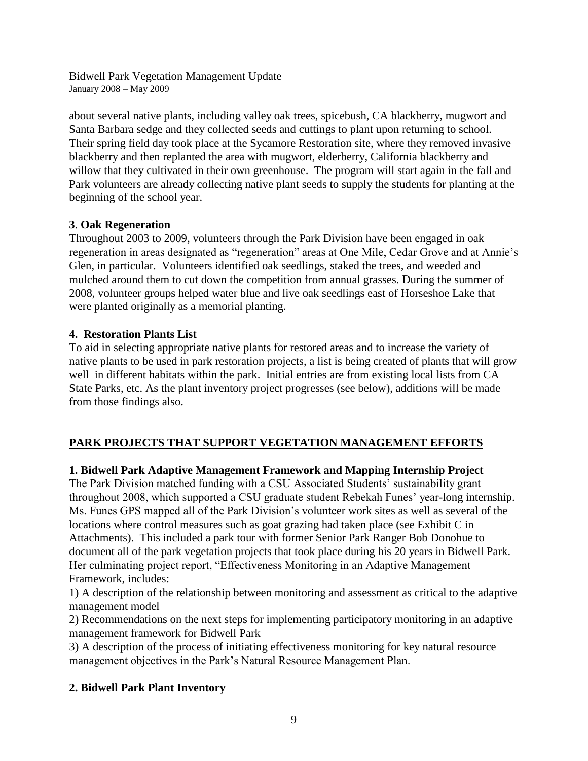about several native plants, including valley oak trees, spicebush, CA blackberry, mugwort and Santa Barbara sedge and they collected seeds and cuttings to plant upon returning to school. Their spring field day took place at the Sycamore Restoration site, where they removed invasive blackberry and then replanted the area with mugwort, elderberry, California blackberry and willow that they cultivated in their own greenhouse. The program will start again in the fall and Park volunteers are already collecting native plant seeds to supply the students for planting at the beginning of the school year.

# **3**. **Oak Regeneration**

Throughout 2003 to 2009, volunteers through the Park Division have been engaged in oak regeneration in areas designated as "regeneration" areas at One Mile, Cedar Grove and at Annie's Glen, in particular. Volunteers identified oak seedlings, staked the trees, and weeded and mulched around them to cut down the competition from annual grasses. During the summer of 2008, volunteer groups helped water blue and live oak seedlings east of Horseshoe Lake that were planted originally as a memorial planting.

# **4. Restoration Plants List**

To aid in selecting appropriate native plants for restored areas and to increase the variety of native plants to be used in park restoration projects, a list is being created of plants that will grow well in different habitats within the park. Initial entries are from existing local lists from CA State Parks, etc. As the plant inventory project progresses (see below), additions will be made from those findings also.

# **PARK PROJECTS THAT SUPPORT VEGETATION MANAGEMENT EFFORTS**

# **1. Bidwell Park Adaptive Management Framework and Mapping Internship Project**

The Park Division matched funding with a CSU Associated Students' sustainability grant throughout 2008, which supported a CSU graduate student Rebekah Funes' year-long internship. Ms. Funes GPS mapped all of the Park Division's volunteer work sites as well as several of the locations where control measures such as goat grazing had taken place (see Exhibit C in Attachments). This included a park tour with former Senior Park Ranger Bob Donohue to document all of the park vegetation projects that took place during his 20 years in Bidwell Park. Her culminating project report, "Effectiveness Monitoring in an Adaptive Management Framework, includes:

1) A description of the relationship between monitoring and assessment as critical to the adaptive management model

2) Recommendations on the next steps for implementing participatory monitoring in an adaptive management framework for Bidwell Park

3) A description of the process of initiating effectiveness monitoring for key natural resource management objectives in the Park's Natural Resource Management Plan.

# **2. Bidwell Park Plant Inventory**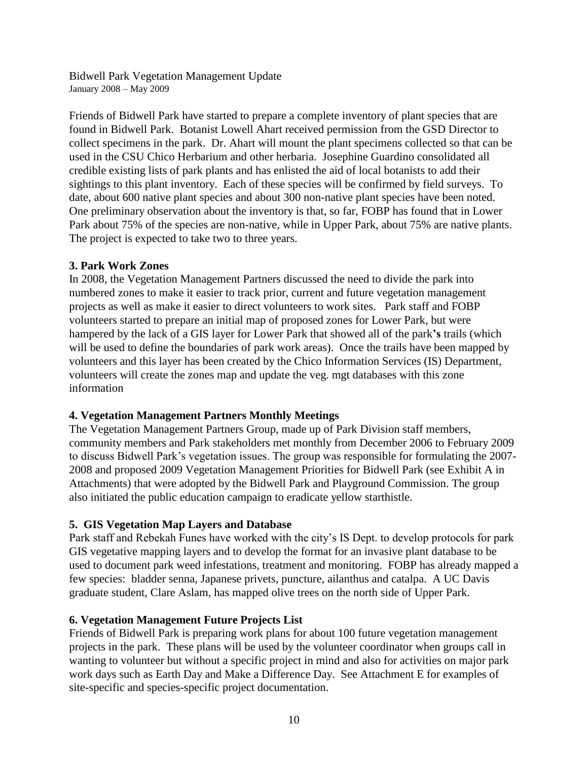Friends of Bidwell Park have started to prepare a complete inventory of plant species that are found in Bidwell Park. Botanist Lowell Ahart received permission from the GSD Director to collect specimens in the park. Dr. Ahart will mount the plant specimens collected so that can be used in the CSU Chico Herbarium and other herbaria. Josephine Guardino consolidated all credible existing lists of park plants and has enlisted the aid of local botanists to add their sightings to this plant inventory. Each of these species will be confirmed by field surveys. To date, about 600 native plant species and about 300 non-native plant species have been noted. One preliminary observation about the inventory is that, so far, FOBP has found that in Lower Park about 75% of the species are non-native, while in Upper Park, about 75% are native plants. The project is expected to take two to three years.

# **3. Park Work Zones**

In 2008, the Vegetation Management Partners discussed the need to divide the park into numbered zones to make it easier to track prior, current and future vegetation management projects as well as make it easier to direct volunteers to work sites. Park staff and FOBP volunteers started to prepare an initial map of proposed zones for Lower Park, but were hampered by the lack of a GIS layer for Lower Park that showed all of the park**'s** trails (which will be used to define the boundaries of park work areas). Once the trails have been mapped by volunteers and this layer has been created by the Chico Information Services (IS) Department, volunteers will create the zones map and update the veg. mgt databases with this zone information

# **4. Vegetation Management Partners Monthly Meetings**

The Vegetation Management Partners Group, made up of Park Division staff members, community members and Park stakeholders met monthly from December 2006 to February 2009 to discuss Bidwell Park's vegetation issues. The group was responsible for formulating the 2007- 2008 and proposed 2009 Vegetation Management Priorities for Bidwell Park (see Exhibit A in Attachments) that were adopted by the Bidwell Park and Playground Commission. The group also initiated the public education campaign to eradicate yellow starthistle.

# **5. GIS Vegetation Map Layers and Database**

Park staff and Rebekah Funes have worked with the city's IS Dept. to develop protocols for park GIS vegetative mapping layers and to develop the format for an invasive plant database to be used to document park weed infestations, treatment and monitoring. FOBP has already mapped a few species: bladder senna, Japanese privets, puncture, ailanthus and catalpa. A UC Davis graduate student, Clare Aslam, has mapped olive trees on the north side of Upper Park.

# **6. Vegetation Management Future Projects List**

Friends of Bidwell Park is preparing work plans for about 100 future vegetation management projects in the park. These plans will be used by the volunteer coordinator when groups call in wanting to volunteer but without a specific project in mind and also for activities on major park work days such as Earth Day and Make a Difference Day. See Attachment E for examples of site-specific and species-specific project documentation.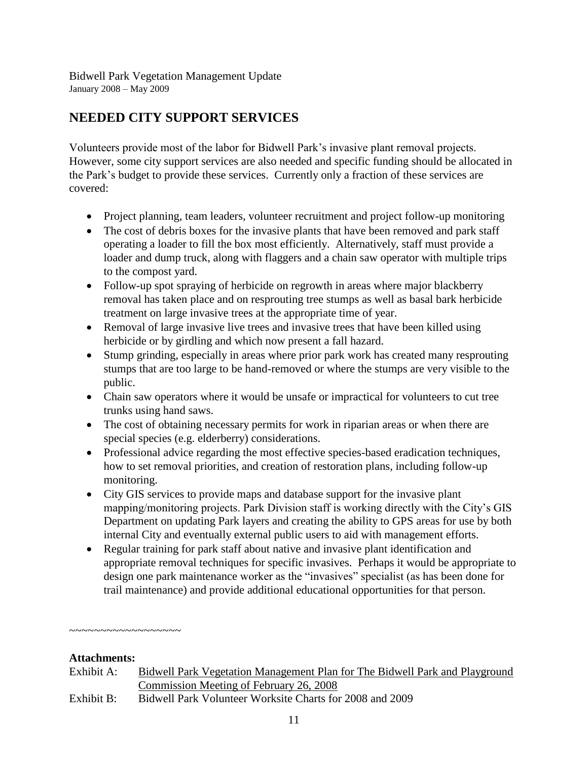# **NEEDED CITY SUPPORT SERVICES**

Volunteers provide most of the labor for Bidwell Park's invasive plant removal projects. However, some city support services are also needed and specific funding should be allocated in the Park's budget to provide these services. Currently only a fraction of these services are covered:

- Project planning, team leaders, volunteer recruitment and project follow-up monitoring
- The cost of debris boxes for the invasive plants that have been removed and park staff operating a loader to fill the box most efficiently. Alternatively, staff must provide a loader and dump truck, along with flaggers and a chain saw operator with multiple trips to the compost yard.
- Follow-up spot spraying of herbicide on regrowth in areas where major blackberry removal has taken place and on resprouting tree stumps as well as basal bark herbicide treatment on large invasive trees at the appropriate time of year.
- Removal of large invasive live trees and invasive trees that have been killed using herbicide or by girdling and which now present a fall hazard.
- Stump grinding, especially in areas where prior park work has created many resprouting stumps that are too large to be hand-removed or where the stumps are very visible to the public.
- Chain saw operators where it would be unsafe or impractical for volunteers to cut tree trunks using hand saws.
- The cost of obtaining necessary permits for work in riparian areas or when there are special species (e.g. elderberry) considerations.
- Professional advice regarding the most effective species-based eradication techniques, how to set removal priorities, and creation of restoration plans, including follow-up monitoring.
- City GIS services to provide maps and database support for the invasive plant mapping/monitoring projects. Park Division staff is working directly with the City's GIS Department on updating Park layers and creating the ability to GPS areas for use by both internal City and eventually external public users to aid with management efforts.
- Regular training for park staff about native and invasive plant identification and appropriate removal techniques for specific invasives. Perhaps it would be appropriate to design one park maintenance worker as the "invasives" specialist (as has been done for trail maintenance) and provide additional educational opportunities for that person.

~~~~~~~~~~~~~~~~~~

#### **Attachments:**

- Exhibit A: Bidwell Park Vegetation Management Plan for The Bidwell Park and Playground Commission Meeting of February 26, 2008
- Exhibit B: Bidwell Park Volunteer Worksite Charts for 2008 and 2009